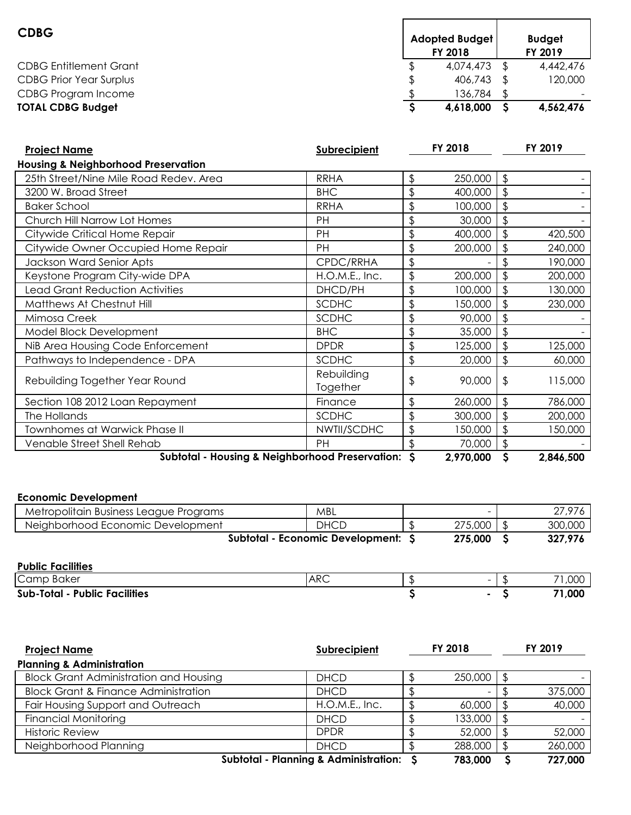| <b>CDBG</b>                    | <b>Adopted Budget</b><br><b>FY 2018</b> |           | <b>Budget</b><br><b>FY 2019</b> |           |
|--------------------------------|-----------------------------------------|-----------|---------------------------------|-----------|
| <b>CDBG Entitlement Grant</b>  |                                         | 4,074,473 |                                 | 4,442,476 |
| <b>CDBG Prior Year Surplus</b> |                                         | 406,743   |                                 | 120,000   |
| CDBG Program Income            |                                         | 136,784   |                                 |           |
| <b>TOTAL CDBG Budget</b>       |                                         | 4,618,000 |                                 | 4,562,476 |

 $\mathbf{r}$ 

| <b>Project Name</b>                                | <b>Subrecipient</b>    |               | FY 2018   |               | <b>FY 2019</b> |
|----------------------------------------------------|------------------------|---------------|-----------|---------------|----------------|
| <b>Housing &amp; Neighborhood Preservation</b>     |                        |               |           |               |                |
| 25th Street/Nine Mile Road Redev. Area             | <b>RRHA</b>            | \$            | 250,000   | \$            |                |
| 3200 W. Broad Street                               | <b>BHC</b>             | \$            | 400,000   | \$            |                |
| <b>Baker School</b>                                | <b>RRHA</b>            | \$            | 100,000   | \$            |                |
| Church Hill Narrow Lot Homes                       | PH                     | \$            | 30,000    |               |                |
| Citywide Critical Home Repair                      | PH                     | \$            | 400,000   | $\sqrt[6]{2}$ | 420,500        |
| Citywide Owner Occupied Home Repair                | PH                     | \$            | 200,000   | \$            | 240,000        |
| Jackson Ward Senior Apts                           | CPDC/RRHA              | \$            |           |               | 190,000        |
| Keystone Program City-wide DPA                     | H.O.M.E., Inc.         | \$            | 200,000   | \$            | 200,000        |
| <b>Lead Grant Reduction Activities</b>             | DHCD/PH                | $\frac{1}{2}$ | 100,000   | \$            | 130,000        |
| Matthews At Chestnut Hill                          | SCDHC                  | \$            | 150,000   | \$            | 230,000        |
| Mimosa Creek                                       | SCDHC                  | \$            | 90,000    | \$            |                |
| Model Block Development                            | <b>BHC</b>             | \$            | 35,000    | \$            |                |
| NiB Area Housing Code Enforcement                  | <b>DPDR</b>            | $\frac{1}{2}$ | 125,000   | \$            | 125,000        |
| Pathways to Independence - DPA                     | SCDHC                  | \$            | 20,000    | \$            | 60,000         |
| Rebuilding Together Year Round                     | Rebuilding<br>Together | \$            | 90,000    | \$            | 115,000        |
| Section 108 2012 Loan Repayment                    | Finance                | $\frac{1}{2}$ | 260,000   | \$            | 786,000        |
| The Hollands                                       | SCDHC                  | \$            | 300,000   | \$            | 200,000        |
| Townhomes at Warwick Phase II                      | NWTII/SCDHC            | $\frac{1}{2}$ | 150,000   | \$            | 150,000        |
| Venable Street Shell Rehab                         | <b>PH</b>              | \$            | 70,000    | \$            |                |
| Subtotal - Housing & Neighborhood Preservation: \$ | 2,970,000              | S             | 2,846,500 |               |                |

## **Economic Development**

| Metropolitain Business League Programs | MBL  |         | 27.976  |
|----------------------------------------|------|---------|---------|
| Neighborhood Economic Development      | DHCD | 275,000 | 300,000 |
| Subtotal - Economic Development:       |      | 275,000 | 327,976 |

| <b>Public Facilities</b>             |            |   |        |
|--------------------------------------|------------|---|--------|
| Camp Baker                           | ADC<br>AKL | - | ,000   |
| <b>Sub-Total - Public Facilities</b> |            |   | 000, ا |

| <b>Project Name</b>                              | Subrecipient   | FY 2018 |         | FY 2019 |  |
|--------------------------------------------------|----------------|---------|---------|---------|--|
| <b>Planning &amp; Administration</b>             |                |         |         |         |  |
| <b>Block Grant Administration and Housing</b>    | <b>DHCD</b>    |         | 250,000 |         |  |
| <b>Block Grant &amp; Finance Administration</b>  | <b>DHCD</b>    |         |         | 375,000 |  |
| Fair Housing Support and Outreach                | H.O.M.E., Inc. |         | 60,000  | 40,000  |  |
| <b>Financial Monitoring</b>                      | <b>DHCD</b>    |         | 133,000 |         |  |
| <b>Historic Review</b>                           | <b>DPDR</b>    |         | 52,000  | 52,000  |  |
| Neighborhood Planning                            | <b>DHCD</b>    |         | 288,000 | 260,000 |  |
| <b>Subtotal - Planning &amp; Administration:</b> |                | 783,000 | 727,000 |         |  |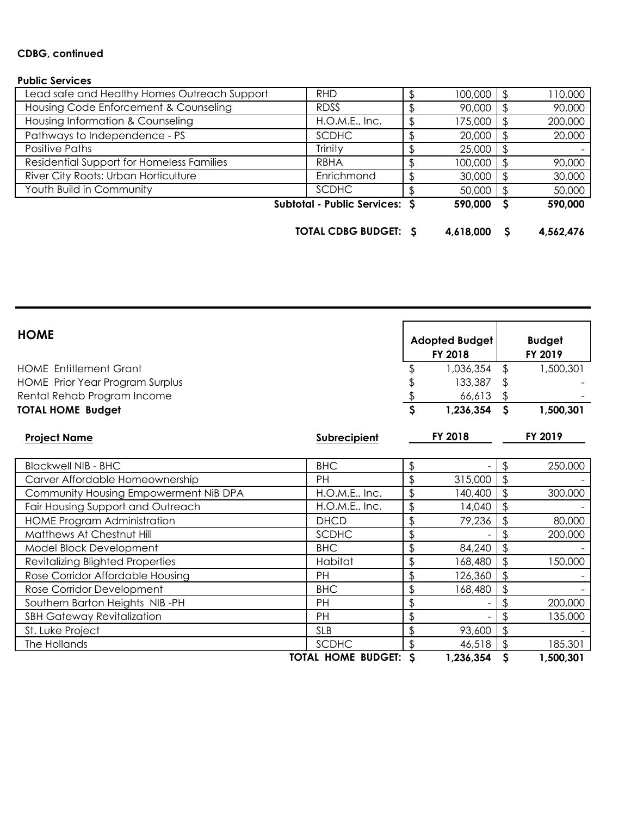## **CDBG, continued**

## **Public Services**

| Lead safe and Healthy Homes Outreach Support | <b>RHD</b>                     | 100,000   | 110,000   |
|----------------------------------------------|--------------------------------|-----------|-----------|
| Housing Code Enforcement & Counseling        | <b>RDSS</b>                    | 90,000    | 90,000    |
| Housing Information & Counseling             | H.O.M.E., Inc.                 | 175,000   | 200,000   |
| Pathways to Independence - PS                | <b>SCDHC</b>                   | 20,000    | 20,000    |
| Positive Paths                               | Trinity                        | 25,000    |           |
| Residential Support for Homeless Families    | <b>RBHA</b>                    | 100,000   | 90,000    |
| River City Roots: Urban Horticulture         | Enrichmond                     | 30,000    | 30,000    |
| Youth Build in Community                     | <b>SCDHC</b>                   | 50,000    | 50,000    |
|                                              | Subtotal - Public Services: \$ | 590,000   | 590,000   |
|                                              | <b>TOTAL CDBG BUDGET: \$</b>   | 4,618,000 | 4,562,476 |

| <b>HOME</b>                             |                           |               | <b>Adopted Budget</b><br>FY 2018 |                         | <b>Budget</b><br>FY 2019 |
|-----------------------------------------|---------------------------|---------------|----------------------------------|-------------------------|--------------------------|
| <b>HOME Entitlement Grant</b>           |                           | \$            | 1,036,354                        | $\sqrt[6]{\frac{1}{2}}$ | 1,500,301                |
| <b>HOME Prior Year Program Surplus</b>  |                           |               | 133,387                          | \$                      |                          |
| Rental Rehab Program Income             |                           |               | 66,613                           | \$                      |                          |
| <b>TOTAL HOME Budget</b>                |                           | \$            | 1,236,354                        | $\mathsf{S}$            | 1,500,301                |
| <b>Project Name</b>                     | <b>Subrecipient</b>       |               | FY 2018                          |                         | FY 2019                  |
| <b>Blackwell NIB - BHC</b>              | <b>BHC</b>                | \$            |                                  | $\sqrt[6]{\frac{1}{2}}$ | 250,000                  |
| Carver Affordable Homeownership         | PH                        | \$            | 315,000                          | $\frac{1}{2}$           |                          |
| Community Housing Empowerment NiB DPA   | H.O.M.E., Inc.            | \$            | 140,400                          | $\sqrt[6]{\frac{1}{2}}$ | 300,000                  |
| Fair Housing Support and Outreach       | H.O.M.E., Inc.            | \$            | 14,040                           | \$                      |                          |
| <b>HOME Program Administration</b>      | <b>DHCD</b>               | \$            | 79,236                           | $\frac{1}{2}$           | 80,000                   |
| Matthews At Chestnut Hill               | <b>SCDHC</b>              | \$            |                                  | \$                      | 200,000                  |
| Model Block Development                 | <b>BHC</b>                | \$            | 84,240                           | $\frac{1}{2}$           |                          |
| <b>Revitalizing Blighted Properties</b> | Habitat                   | \$            | 168,480                          | \$                      | 150,000                  |
| Rose Corridor Affordable Housing        | PH                        | \$            | 126,360                          | \$                      |                          |
| Rose Corridor Development               | <b>BHC</b>                | $\frac{1}{2}$ | 168,480                          | $\frac{1}{2}$           |                          |
| Southern Barton Heights NIB-PH          | PH                        | $\frac{1}{2}$ |                                  | \$                      | 200,000                  |
| <b>SBH Gateway Revitalization</b>       | PH                        | \$            |                                  | \$                      | 135,000                  |
| St. Luke Project                        | <b>SLB</b>                | \$            | 93,600                           | $\frac{1}{2}$           |                          |
| The Hollands                            | <b>SCDHC</b>              | \$            | 46,518                           | $\frac{1}{2}$           | 185,301                  |
|                                         | <b>TOTAL HOME BUDGET:</b> | S             | 1,236,354                        | \$                      | 1,500,301                |